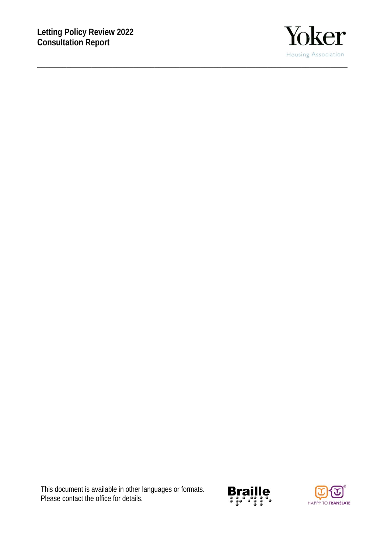**\_\_\_\_\_\_\_\_\_\_\_\_\_\_\_\_\_\_\_\_\_\_\_\_\_\_\_\_\_\_\_\_\_\_\_\_\_\_\_\_\_\_\_\_\_\_\_\_\_\_\_\_\_\_\_\_\_\_\_\_\_\_\_\_\_\_\_\_\_\_\_\_\_\_** 



This document is available in other languages or formats. Please contact the office for details.



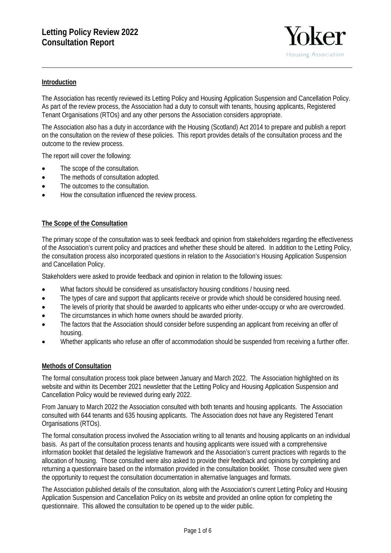

### **Introduction**

The Association has recently reviewed its Letting Policy and Housing Application Suspension and Cancellation Policy. As part of the review process, the Association had a duty to consult with tenants, housing applicants, Registered Tenant Organisations (RTOs) and any other persons the Association considers appropriate.

**\_\_\_\_\_\_\_\_\_\_\_\_\_\_\_\_\_\_\_\_\_\_\_\_\_\_\_\_\_\_\_\_\_\_\_\_\_\_\_\_\_\_\_\_\_\_\_\_\_\_\_\_\_\_\_\_\_\_\_\_\_\_\_\_\_\_\_\_\_\_\_\_\_\_** 

The Association also has a duty in accordance with the Housing (Scotland) Act 2014 to prepare and publish a report on the consultation on the review of these policies. This report provides details of the consultation process and the outcome to the review process.

The report will cover the following:

- The scope of the consultation.
- The methods of consultation adopted.
- The outcomes to the consultation.
- How the consultation influenced the review process.

### **The Scope of the Consultation**

The primary scope of the consultation was to seek feedback and opinion from stakeholders regarding the effectiveness of the Association's current policy and practices and whether these should be altered. In addition to the Letting Policy, the consultation process also incorporated questions in relation to the Association's Housing Application Suspension and Cancellation Policy.

Stakeholders were asked to provide feedback and opinion in relation to the following issues:

- What factors should be considered as unsatisfactory housing conditions / housing need.
- The types of care and support that applicants receive or provide which should be considered housing need.
- The levels of priority that should be awarded to applicants who either under-occupy or who are overcrowded.
- The circumstances in which home owners should be awarded priority.
- The factors that the Association should consider before suspending an applicant from receiving an offer of housing.
- Whether applicants who refuse an offer of accommodation should be suspended from receiving a further offer.

### **Methods of Consultation**

The formal consultation process took place between January and March 2022. The Association highlighted on its website and within its December 2021 newsletter that the Letting Policy and Housing Application Suspension and Cancellation Policy would be reviewed during early 2022.

From January to March 2022 the Association consulted with both tenants and housing applicants. The Association consulted with 644 tenants and 635 housing applicants. The Association does not have any Registered Tenant Organisations (RTOs).

The formal consultation process involved the Association writing to all tenants and housing applicants on an individual basis. As part of the consultation process tenants and housing applicants were issued with a comprehensive information booklet that detailed the legislative framework and the Association's current practices with regards to the allocation of housing. Those consulted were also asked to provide their feedback and opinions by completing and returning a questionnaire based on the information provided in the consultation booklet. Those consulted were given the opportunity to request the consultation documentation in alternative languages and formats.

The Association published details of the consultation, along with the Association's current Letting Policy and Housing Application Suspension and Cancellation Policy on its website and provided an online option for completing the questionnaire. This allowed the consultation to be opened up to the wider public.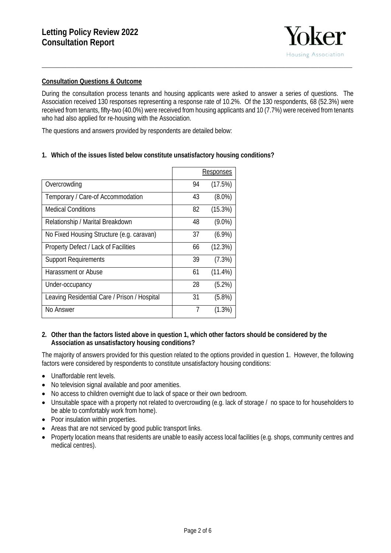

### **Consultation Questions & Outcome**

During the consultation process tenants and housing applicants were asked to answer a series of questions. The Association received 130 responses representing a response rate of 10.2%. Of the 130 respondents, 68 (52.3%) were received from tenants, fifty-two (40.0%) were received from housing applicants and 10 (7.7%) were received from tenants who had also applied for re-housing with the Association.

**\_\_\_\_\_\_\_\_\_\_\_\_\_\_\_\_\_\_\_\_\_\_\_\_\_\_\_\_\_\_\_\_\_\_\_\_\_\_\_\_\_\_\_\_\_\_\_\_\_\_\_\_\_\_\_\_\_\_\_\_\_\_\_\_\_\_\_\_\_\_\_\_\_\_** 

The questions and answers provided by respondents are detailed below:

### **1. Which of the issues listed below constitute unsatisfactory housing conditions?**

|                                              |    | <b>Responses</b> |
|----------------------------------------------|----|------------------|
| Overcrowding                                 | 94 | (17.5%)          |
| Temporary / Care-of Accommodation            | 43 | $(8.0\%)$        |
| <b>Medical Conditions</b>                    | 82 | (15.3%)          |
| Relationship / Marital Breakdown             | 48 | $(9.0\%)$        |
| No Fixed Housing Structure (e.g. caravan)    | 37 | $(6.9\%)$        |
| Property Defect / Lack of Facilities         | 66 | (12.3%)          |
| <b>Support Requirements</b>                  | 39 | (7.3%)           |
| Harassment or Abuse                          | 61 | $(11.4\%)$       |
| Under-occupancy                              | 28 | $(5.2\%)$        |
| Leaving Residential Care / Prison / Hospital | 31 | $(5.8\%)$        |
| No Answer                                    | 7  | $(1.3\%)$        |

#### **2. Other than the factors listed above in question 1, which other factors should be considered by the Association as unsatisfactory housing conditions?**

The majority of answers provided for this question related to the options provided in question 1. However, the following factors were considered by respondents to constitute unsatisfactory housing conditions:

- Unaffordable rent levels.
- No television signal available and poor amenities.
- No access to children overnight due to lack of space or their own bedroom.
- Unsuitable space with a property not related to overcrowding (e.g. lack of storage / no space to for householders to be able to comfortably work from home).
- Poor insulation within properties.
- Areas that are not serviced by good public transport links.
- Property location means that residents are unable to easily access local facilities (e.g. shops, community centres and medical centres).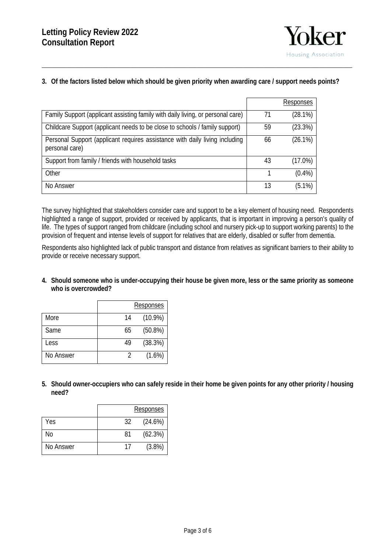

# **3. Of the factors listed below which should be given priority when awarding care / support needs points?**

**\_\_\_\_\_\_\_\_\_\_\_\_\_\_\_\_\_\_\_\_\_\_\_\_\_\_\_\_\_\_\_\_\_\_\_\_\_\_\_\_\_\_\_\_\_\_\_\_\_\_\_\_\_\_\_\_\_\_\_\_\_\_\_\_\_\_\_\_\_\_\_\_\_\_** 

|                                                                                               |    | Responses  |
|-----------------------------------------------------------------------------------------------|----|------------|
| Family Support (applicant assisting family with daily living, or personal care)               | 71 | (28.1%)    |
| Childcare Support (applicant needs to be close to schools / family support)                   | 59 | (23.3%)    |
| Personal Support (applicant requires assistance with daily living including<br>personal care) | 66 | $(26.1\%)$ |
| Support from family / friends with household tasks                                            | 43 | $(17.0\%)$ |
| Other                                                                                         |    | $(0.4\%)$  |
| No Answer                                                                                     | 13 | $(5.1\%)$  |

The survey highlighted that stakeholders consider care and support to be a key element of housing need. Respondents highlighted a range of support, provided or received by applicants, that is important in improving a person's quality of life. The types of support ranged from childcare (including school and nursery pick-up to support working parents) to the provision of frequent and intense levels of support for relatives that are elderly, disabled or suffer from dementia.

Respondents also highlighted lack of public transport and distance from relatives as significant barriers to their ability to provide or receive necessary support.

**4. Should someone who is under-occupying their house be given more, less or the same priority as someone who is overcrowded?** 

|           |    | Responses  |
|-----------|----|------------|
| More      | 14 | $(10.9\%)$ |
| Same      | 65 | $(50.8\%)$ |
| Less      | 49 | (38.3%)    |
| No Answer |    | $(1.6\%)$  |

**5. Should owner-occupiers who can safely reside in their home be given points for any other priority / housing need?** 

|           |    | Responses |
|-----------|----|-----------|
| Yes       | 32 | (24.6%)   |
| No        | 81 | (62.3%)   |
| No Answer | 17 | (3.8%)    |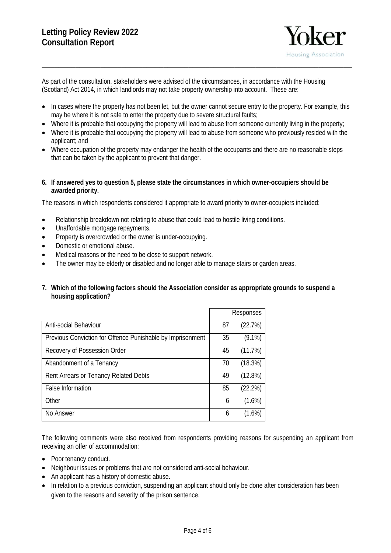

As part of the consultation, stakeholders were advised of the circumstances, in accordance with the Housing (Scotland) Act 2014, in which landlords may not take property ownership into account. These are:

• In cases where the property has not been let, but the owner cannot secure entry to the property. For example, this may be where it is not safe to enter the property due to severe structural faults;

**\_\_\_\_\_\_\_\_\_\_\_\_\_\_\_\_\_\_\_\_\_\_\_\_\_\_\_\_\_\_\_\_\_\_\_\_\_\_\_\_\_\_\_\_\_\_\_\_\_\_\_\_\_\_\_\_\_\_\_\_\_\_\_\_\_\_\_\_\_\_\_\_\_\_** 

- Where it is probable that occupying the property will lead to abuse from someone currently living in the property;
- Where it is probable that occupying the property will lead to abuse from someone who previously resided with the applicant; and
- Where occupation of the property may endanger the health of the occupants and there are no reasonable steps that can be taken by the applicant to prevent that danger.

#### **6. If answered yes to question 5, please state the circumstances in which owner-occupiers should be awarded priority.**

The reasons in which respondents considered it appropriate to award priority to owner-occupiers included:

- Relationship breakdown not relating to abuse that could lead to hostile living conditions.
- Unaffordable mortgage repayments.
- Property is overcrowded or the owner is under-occupying.
- Domestic or emotional abuse.
- Medical reasons or the need to be close to support network.
- The owner may be elderly or disabled and no longer able to manage stairs or garden areas.
- **7. Which of the following factors should the Association consider as appropriate grounds to suspend a housing application?**

|                                                            |    | Responses  |
|------------------------------------------------------------|----|------------|
| Anti-social Behaviour                                      | 87 | (22.7%)    |
| Previous Conviction for Offence Punishable by Imprisonment | 35 | $(9.1\%)$  |
| Recovery of Possession Order                               | 45 | (11.7%)    |
| Abandonment of a Tenancy                                   | 70 | (18.3%)    |
| Rent Arrears or Tenancy Related Debts                      | 49 | $(12.8\%)$ |
| <b>False Information</b>                                   | 85 | (22.2%)    |
| Other                                                      | 6  | $(1.6\%)$  |
| No Answer                                                  | 6  | $(1.6\%)$  |

The following comments were also received from respondents providing reasons for suspending an applicant from receiving an offer of accommodation:

- Poor tenancy conduct.
- Neighbour issues or problems that are not considered anti-social behaviour.
- An applicant has a history of domestic abuse.
- In relation to a previous conviction, suspending an applicant should only be done after consideration has been given to the reasons and severity of the prison sentence.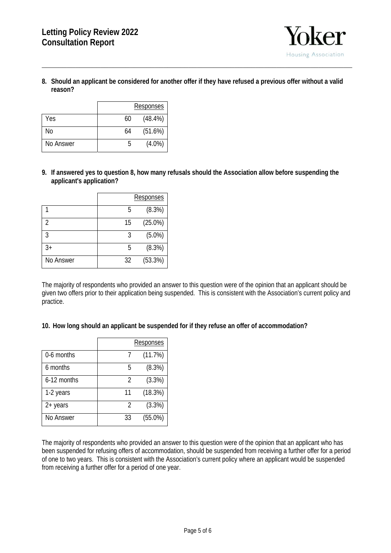

**8. Should an applicant be considered for another offer if they have refused a previous offer without a valid reason?**

**\_\_\_\_\_\_\_\_\_\_\_\_\_\_\_\_\_\_\_\_\_\_\_\_\_\_\_\_\_\_\_\_\_\_\_\_\_\_\_\_\_\_\_\_\_\_\_\_\_\_\_\_\_\_\_\_\_\_\_\_\_\_\_\_\_\_\_\_\_\_\_\_\_\_** 

|           |    | Responses  |
|-----------|----|------------|
| Yes       | 60 | $(48.4\%)$ |
| No        | 64 | (51.6%)    |
| No Answer | h  | $(4.0\%)$  |

**9. If answered yes to question 8, how many refusals should the Association allow before suspending the applicant's application?**

|           |    | <b>Responses</b> |
|-----------|----|------------------|
|           | 5  | (8.3%)           |
| 2         | 15 | $(25.0\%)$       |
| 3         | 3  | $(5.0\%)$        |
| $3+$      | 5  | (8.3%)           |
| No Answer | 32 | (53.3%)          |

The majority of respondents who provided an answer to this question were of the opinion that an applicant should be given two offers prior to their application being suspended. This is consistent with the Association's current policy and practice.

**10. How long should an applicant be suspended for if they refuse an offer of accommodation?** 

|             |    | <b>Responses</b> |
|-------------|----|------------------|
| 0-6 months  |    | (11.7%)          |
| 6 months    | 5  | (8.3%)           |
| 6-12 months | 2  | (3.3%)           |
| 1-2 years   | 11 | (18.3%)          |
| 2+ years    | 2  | (3.3%)           |
| No Answer   | 33 | $(55.0\%)$       |

The majority of respondents who provided an answer to this question were of the opinion that an applicant who has been suspended for refusing offers of accommodation, should be suspended from receiving a further offer for a period of one to two years. This is consistent with the Association's current policy where an applicant would be suspended from receiving a further offer for a period of one year.